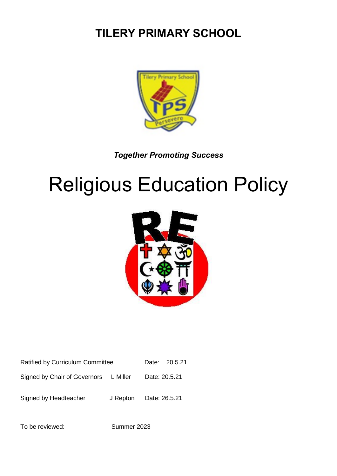# **TILERY PRIMARY SCHOOL**



*Together Promoting Success*

# Religious Education Policy



| Ratified by Curriculum Committee |  | Date: 20.5.21 |
|----------------------------------|--|---------------|
|----------------------------------|--|---------------|

Signed by Chair of Governors L Miller Date: 20.5.21

Signed by Headteacher J Repton Date: 26.5.21

To be reviewed: Summer 2023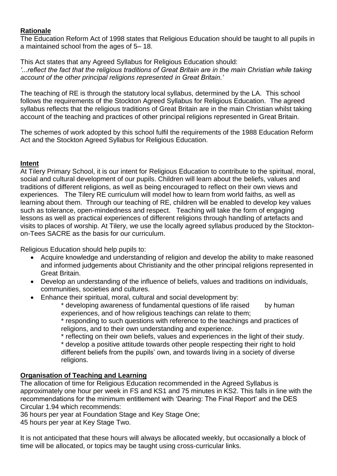# **Rationale**

The Education Reform Act of 1998 states that Religious Education should be taught to all pupils in a maintained school from the ages of 5– 18.

This Act states that any Agreed Syllabus for Religious Education should: *'...reflect the fact that the religious traditions of Great Britain are in the main Christian while taking account of the other principal religions represented in Great Britain.'*

The teaching of RE is through the statutory local syllabus, determined by the LA. This school follows the requirements of the Stockton Agreed Syllabus for Religious Education. The agreed syllabus reflects that the religious traditions of Great Britain are in the main Christian whilst taking account of the teaching and practices of other principal religions represented in Great Britain.

The schemes of work adopted by this school fulfil the requirements of the 1988 Education Reform Act and the Stockton Agreed Syllabus for Religious Education.

# **Intent**

At Tilery Primary School, it is our intent for Religious Education to contribute to the spiritual, moral, social and cultural development of our pupils. Children will learn about the beliefs, values and traditions of different religions, as well as being encouraged to reflect on their own views and experiences. The Tilery RE curriculum will model how to learn from world faiths, as well as learning about them. Through our teaching of RE, children will be enabled to develop key values such as tolerance, open-mindedness and respect. Teaching will take the form of engaging lessons as well as practical experiences of different religions through handling of artefacts and visits to places of worship. At Tilery, we use the locally agreed syllabus produced by the Stocktonon-Tees SACRE as the basis for our curriculum.

Religious Education should help pupils to:

- Acquire knowledge and understanding of religion and develop the ability to make reasoned and informed judgements about Christianity and the other principal religions represented in Great Britain.
- Develop an understanding of the influence of beliefs, values and traditions on individuals, communities, societies and cultures.
- Enhance their spiritual, moral, cultural and social development by:

\* developing awareness of fundamental questions of life raised by human experiences, and of how religious teachings can relate to them;

\* responding to such questions with reference to the teachings and practices of religions, and to their own understanding and experience.

\* reflecting on their own beliefs, values and experiences in the light of their study.

\* develop a positive attitude towards other people respecting their right to hold different beliefs from the pupils' own, and towards living in a society of diverse religions.

# **Organisation of Teaching and Learning**

The allocation of time for Religious Education recommended in the Agreed Syllabus is approximately one hour per week in FS and KS1 and 75 minutes in KS2. This falls in line with the recommendations for the minimum entitlement with 'Dearing: The Final Report' and the DES Circular 1.94 which recommends:

36 hours per year at Foundation Stage and Key Stage One;

45 hours per year at Key Stage Two.

It is not anticipated that these hours will always be allocated weekly, but occasionally a block of time will be allocated, or topics may be taught using cross-curricular links.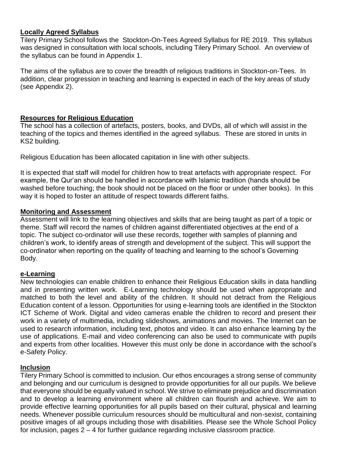# **Locally Agreed Syllabus**

Tilery Primary School follows the Stockton-On-Tees Agreed Syllabus for RE 2019. This syllabus was designed in consultation with local schools, including Tilery Primary School. An overview of the syllabus can be found in Appendix 1.

The aims of the syllabus are to cover the breadth of religious traditions in Stockton-on-Tees. In addition, clear progression in teaching and learning is expected in each of the key areas of study (see Appendix 2).

# **Resources for Religious Education**

The school has a collection of artefacts, posters, books, and DVDs, all of which will assist in the teaching of the topics and themes identified in the agreed syllabus. These are stored in units in KS2 building.

Religious Education has been allocated capitation in line with other subjects.

It is expected that staff will model for children how to treat artefacts with appropriate respect. For example, the Qur'an should be handled in accordance with Islamic tradition (hands should be washed before touching; the book should not be placed on the floor or under other books). In this way it is hoped to foster an attitude of respect towards different faiths.

### **Monitoring and Assessment**

Assessment will link to the learning objectives and skills that are being taught as part of a topic or theme. Staff will record the names of children against differentiated objectives at the end of a topic. The subject co-ordinator will use these records, together with samples of planning and children's work, to identify areas of strength and development of the subject. This will support the co-ordinator when reporting on the quality of teaching and learning to the school's Governing Body.

### **e-Learning**

New technologies can enable children to enhance their Religious Education skills in data handling and in presenting written work. E-Learning technology should be used when appropriate and matched to both the level and ability of the children. It should not detract from the Religious Education content of a lesson. Opportunities for using e-learning tools are identified in the Stockton ICT Scheme of Work. Digital and video cameras enable the children to record and present their work in a variety of multimedia, including slideshows, animations and movies. The Internet can be used to research information, including text, photos and video. It can also enhance learning by the use of applications. E-mail and video conferencing can also be used to communicate with pupils and experts from other localities. However this must only be done in accordance with the school's e-Safety Policy.

### **Inclusion**

Tilery Primary School is committed to inclusion. Our ethos encourages a strong sense of community and belonging and our curriculum is designed to provide opportunities for all our pupils. We believe that everyone should be equally valued in school. We strive to eliminate prejudice and discrimination and to develop a learning environment where all children can flourish and achieve. We aim to provide effective learning opportunities for all pupils based on their cultural, physical and learning needs. Whenever possible curriculum resources should be multicultural and non-sexist, containing positive images of all groups including those with disabilities. Please see the Whole School Policy for inclusion, pages 2 – 4 for further guidance regarding inclusive classroom practice.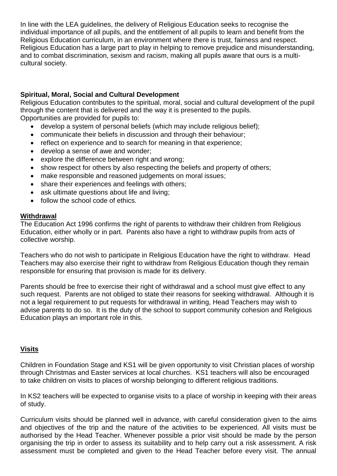In line with the LEA guidelines, the delivery of Religious Education seeks to recognise the individual importance of all pupils, and the entitlement of all pupils to learn and benefit from the Religious Education curriculum, in an environment where there is trust, fairness and respect. Religious Education has a large part to play in helping to remove prejudice and misunderstanding, and to combat discrimination, sexism and racism, making all pupils aware that ours is a multicultural society.

# **Spiritual, Moral, Social and Cultural Development**

Religious Education contributes to the spiritual, moral, social and cultural development of the pupil through the content that is delivered and the way it is presented to the pupils. Opportunities are provided for pupils to:

- develop a system of personal beliefs (which may include religious belief);
- communicate their beliefs in discussion and through their behaviour;
- reflect on experience and to search for meaning in that experience;
- develop a sense of awe and wonder;
- explore the difference between right and wrong;
- show respect for others by also respecting the beliefs and property of others;
- make responsible and reasoned judgements on moral issues;
- share their experiences and feelings with others;
- ask ultimate questions about life and living;
- follow the school code of ethics.

### **Withdrawal**

The Education Act 1996 confirms the right of parents to withdraw their children from Religious Education, either wholly or in part. Parents also have a right to withdraw pupils from acts of collective worship.

Teachers who do not wish to participate in Religious Education have the right to withdraw. Head Teachers may also exercise their right to withdraw from Religious Education though they remain responsible for ensuring that provision is made for its delivery.

Parents should be free to exercise their right of withdrawal and a school must give effect to any such request. Parents are not obliged to state their reasons for seeking withdrawal. Although it is not a legal requirement to put requests for withdrawal in writing, Head Teachers may wish to advise parents to do so. It is the duty of the school to support community cohesion and Religious Education plays an important role in this.

### **Visits**

Children in Foundation Stage and KS1 will be given opportunity to visit Christian places of worship through Christmas and Easter services at local churches. KS1 teachers will also be encouraged to take children on visits to places of worship belonging to different religious traditions.

In KS2 teachers will be expected to organise visits to a place of worship in keeping with their areas of study.

Curriculum visits should be planned well in advance, with careful consideration given to the aims and objectives of the trip and the nature of the activities to be experienced. All visits must be authorised by the Head Teacher. Whenever possible a prior visit should be made by the person organising the trip in order to assess its suitability and to help carry out a risk assessment. A risk assessment must be completed and given to the Head Teacher before every visit. The annual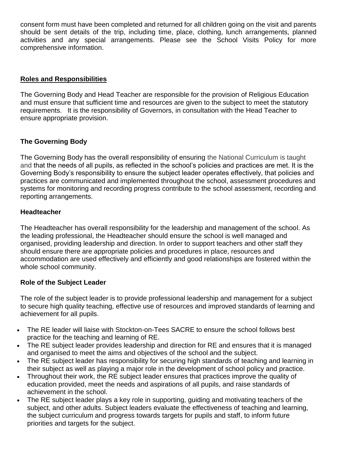consent form must have been completed and returned for all children going on the visit and parents should be sent details of the trip, including time, place, clothing, lunch arrangements, planned activities and any special arrangements. Please see the School Visits Policy for more comprehensive information.

# **Roles and Responsibilities**

The Governing Body and Head Teacher are responsible for the provision of Religious Education and must ensure that sufficient time and resources are given to the subject to meet the statutory requirements. It is the responsibility of Governors, in consultation with the Head Teacher to ensure appropriate provision.

# **The Governing Body**

The Governing Body has the overall responsibility of ensuring the National Curriculum is taught and that the needs of all pupils, as reflected in the school's policies and practices are met. It is the Governing Body's responsibility to ensure the subject leader operates effectively, that policies and practices are communicated and implemented throughout the school, assessment procedures and systems for monitoring and recording progress contribute to the school assessment, recording and reporting arrangements.

### **Headteacher**

The Headteacher has overall responsibility for the leadership and management of the school. As the leading professional, the Headteacher should ensure the school is well managed and organised, providing leadership and direction. In order to support teachers and other staff they should ensure there are appropriate policies and procedures in place, resources and accommodation are used effectively and efficiently and good relationships are fostered within the whole school community.

### **Role of the Subject Leader**

The role of the subject leader is to provide professional leadership and management for a subject to secure high quality teaching, effective use of resources and improved standards of learning and achievement for all pupils.

- The RE leader will liaise with Stockton-on-Tees SACRE to ensure the school follows best practice for the teaching and learning of RE.
- The RE subject leader provides leadership and direction for RE and ensures that it is managed and organised to meet the aims and objectives of the school and the subject.
- The RE subject leader has responsibility for securing high standards of teaching and learning in their subject as well as playing a major role in the development of school policy and practice.
- Throughout their work, the RE subject leader ensures that practices improve the quality of education provided, meet the needs and aspirations of all pupils, and raise standards of achievement in the school.
- The RE subject leader plays a key role in supporting, guiding and motivating teachers of the subject, and other adults. Subject leaders evaluate the effectiveness of teaching and learning, the subject curriculum and progress towards targets for pupils and staff, to inform future priorities and targets for the subject.